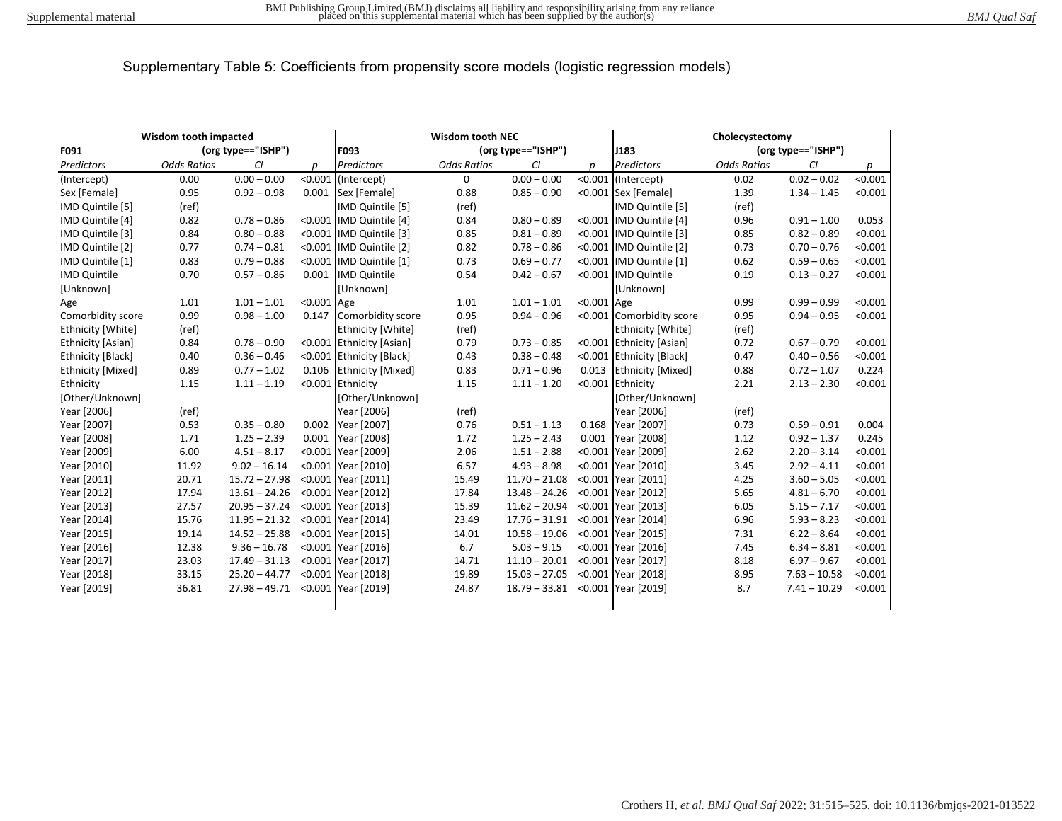| Wisdom tooth impacted    |                    |                    | <b>Wisdom tooth NEC</b> |                            |                    |                 | Cholecystectomy |                          |                    |                |         |
|--------------------------|--------------------|--------------------|-------------------------|----------------------------|--------------------|-----------------|-----------------|--------------------------|--------------------|----------------|---------|
| F091                     |                    | (org type=="ISHP") |                         | (org type=="ISHP")<br>F093 |                    | J183            |                 | (org type=="ISHP")       |                    |                |         |
| Predictors               | <b>Odds Ratios</b> | CI                 | D                       | Predictors                 | <b>Odds Ratios</b> | CI              | D               | Predictors               | <b>Odds Ratios</b> | CI             | p       |
| (Intercept)              | 0.00               | $0.00 - 0.00$      |                         | <0.001 (Intercept)         | $\mathbf 0$        | $0.00 - 0.00$   |                 | <0.001 (Intercept)       | 0.02               | $0.02 - 0.02$  | < 0.001 |
| Sex [Female]             | 0.95               | $0.92 - 0.98$      |                         | 0.001 Sex [Female]         | 0.88               | $0.85 - 0.90$   |                 | <0.001 Sex [Female]      | 1.39               | $1.34 - 1.45$  | < 0.001 |
| IMD Quintile [5]         | (ref)              |                    |                         | IMD Quintile [5]           | (ref)              |                 |                 | IMD Quintile [5]         | (ref)              |                |         |
| IMD Quintile [4]         | 0.82               | $0.78 - 0.86$      |                         | <0.001 IMD Quintile [4]    | 0.84               | $0.80 - 0.89$   |                 | <0.001 IMD Quintile [4]  | 0.96               | $0.91 - 1.00$  | 0.053   |
| IMD Quintile [3]         | 0.84               | $0.80 - 0.88$      |                         | <0.001 IMD Quintile [3]    | 0.85               | $0.81 - 0.89$   |                 | <0.001 IMD Quintile [3]  | 0.85               | $0.82 - 0.89$  | < 0.001 |
| IMD Quintile [2]         | 0.77               | $0.74 - 0.81$      |                         | <0.001 IMD Quintile [2]    | 0.82               | $0.78 - 0.86$   |                 | <0.001 IMD Quintile [2]  | 0.73               | $0.70 - 0.76$  | < 0.001 |
| IMD Quintile [1]         | 0.83               | $0.79 - 0.88$      |                         | <0.001 IMD Quintile [1]    | 0.73               | $0.69 - 0.77$   |                 | <0.001 IMD Quintile [1]  | 0.62               | $0.59 - 0.65$  | < 0.001 |
| <b>IMD Quintile</b>      | 0.70               | $0.57 - 0.86$      |                         | 0.001 IMD Quintile         | 0.54               | $0.42 - 0.67$   |                 | <0.001 IMD Quintile      | 0.19               | $0.13 - 0.27$  | < 0.001 |
| [Unknown]                |                    |                    |                         | <b>[Unknown]</b>           |                    |                 |                 | [Unknown]                |                    |                |         |
| Age                      | 1.01               | $1.01 - 1.01$      | <0.001 Age              |                            | 1.01               | $1.01 - 1.01$   | <0.001 Age      |                          | 0.99               | $0.99 - 0.99$  | < 0.001 |
| Comorbidity score        | 0.99               | $0.98 - 1.00$      |                         | 0.147 Comorbidity score    | 0.95               | $0.94 - 0.96$   |                 | <0.001 Comorbidity score | 0.95               | $0.94 - 0.95$  | < 0.001 |
| Ethnicity [White]        | (ref)              |                    |                         | <b>Ethnicity [White]</b>   | (ref)              |                 |                 | Ethnicity [White]        | (ref)              |                |         |
| <b>Ethnicity [Asian]</b> | 0.84               | $0.78 - 0.90$      |                         | <0.001 Ethnicity [Asian]   | 0.79               | $0.73 - 0.85$   |                 | <0.001 Ethnicity [Asian] | 0.72               | $0.67 - 0.79$  | < 0.001 |
| Ethnicity [Black]        | 0.40               | $0.36 - 0.46$      |                         | <0.001 Ethnicity [Black]   | 0.43               | $0.38 - 0.48$   |                 | <0.001 Ethnicity [Black] | 0.47               | $0.40 - 0.56$  | < 0.001 |
| Ethnicity [Mixed]        | 0.89               | $0.77 - 1.02$      |                         | 0.106 Ethnicity [Mixed]    | 0.83               | $0.71 - 0.96$   |                 | 0.013 Ethnicity [Mixed]  | 0.88               | $0.72 - 1.07$  | 0.224   |
| Ethnicity                | 1.15               | $1.11 - 1.19$      |                         | <0.001 Ethnicity           | 1.15               | $1.11 - 1.20$   |                 | <0.001 Ethnicity         | 2.21               | $2.13 - 2.30$  | < 0.001 |
| [Other/Unknown]          |                    |                    |                         | [Other/Unknown]            |                    |                 |                 | [Other/Unknown]          |                    |                |         |
| Year [2006]              | (ref)              |                    |                         | Year [2006]                | (ref)              |                 |                 | Year [2006]              | (ref)              |                |         |
| Year [2007]              | 0.53               | $0.35 - 0.80$      | 0.002                   | Year [2007]                | 0.76               | $0.51 - 1.13$   |                 | 0.168 Year [2007]        | 0.73               | $0.59 - 0.91$  | 0.004   |
| Year [2008]              | 1.71               | $1.25 - 2.39$      | 0.001                   | Year [2008]                | 1.72               | $1.25 - 2.43$   | 0.001           | Year [2008]              | 1.12               | $0.92 - 1.37$  | 0.245   |
| Year [2009]              | 6.00               | $4.51 - 8.17$      |                         | <0.001 Year [2009]         | 2.06               | $1.51 - 2.88$   |                 | <0.001 Year [2009]       | 2.62               | $2.20 - 3.14$  | < 0.001 |
| Year [2010]              | 11.92              | $9.02 - 16.14$     |                         | <0.001 Year [2010]         | 6.57               | $4.93 - 8.98$   |                 | <0.001 Year [2010]       | 3.45               | $2.92 - 4.11$  | < 0.001 |
| Year [2011]              | 20.71              | $15.72 - 27.98$    |                         | <0.001 Year [2011]         | 15.49              | $11.70 - 21.08$ |                 | <0.001 Year [2011]       | 4.25               | $3.60 - 5.05$  | < 0.001 |
| Year [2012]              | 17.94              | $13.61 - 24.26$    |                         | <0.001 Year [2012]         | 17.84              | $13.48 - 24.26$ |                 | <0.001 Year [2012]       | 5.65               | $4.81 - 6.70$  | < 0.001 |
| Year [2013]              | 27.57              | $20.95 - 37.24$    |                         | <0.001 Year [2013]         | 15.39              | $11.62 - 20.94$ |                 | <0.001 Year [2013]       | 6.05               | $5.15 - 7.17$  | < 0.001 |
| Year [2014]              | 15.76              | $11.95 - 21.32$    |                         | <0.001 Year [2014]         | 23.49              | $17.76 - 31.91$ |                 | <0.001 Year [2014]       | 6.96               | $5.93 - 8.23$  | < 0.001 |
| Year [2015]              | 19.14              | $14.52 - 25.88$    |                         | <0.001 Year [2015]         | 14.01              | $10.58 - 19.06$ |                 | <0.001 Year [2015]       | 7.31               | $6.22 - 8.64$  | < 0.001 |
| Year [2016]              | 12.38              | $9.36 - 16.78$     |                         | <0.001 Year [2016]         | 6.7                | $5.03 - 9.15$   |                 | <0.001 Year [2016]       | 7.45               | $6.34 - 8.81$  | < 0.001 |
| Year [2017]              | 23.03              | $17.49 - 31.13$    |                         | <0.001 Year [2017]         | 14.71              | $11.10 - 20.01$ |                 | <0.001 Year [2017]       | 8.18               | $6.97 - 9.67$  | < 0.001 |
| Year [2018]              | 33.15              | $25.20 - 44.77$    |                         | <0.001 Year [2018]         | 19.89              | $15.03 - 27.05$ |                 | <0.001 Year [2018]       | 8.95               | $7.63 - 10.58$ | < 0.001 |
| Year [2019]              | 36.81              | $27.98 - 49.71$    |                         | <0.001 Year [2019]         | 24.87              | $18.79 - 33.81$ |                 | <0.001 Year [2019]       | 8.7                | $7.41 - 10.29$ | < 0.001 |
|                          |                    |                    |                         |                            |                    |                 |                 |                          |                    |                |         |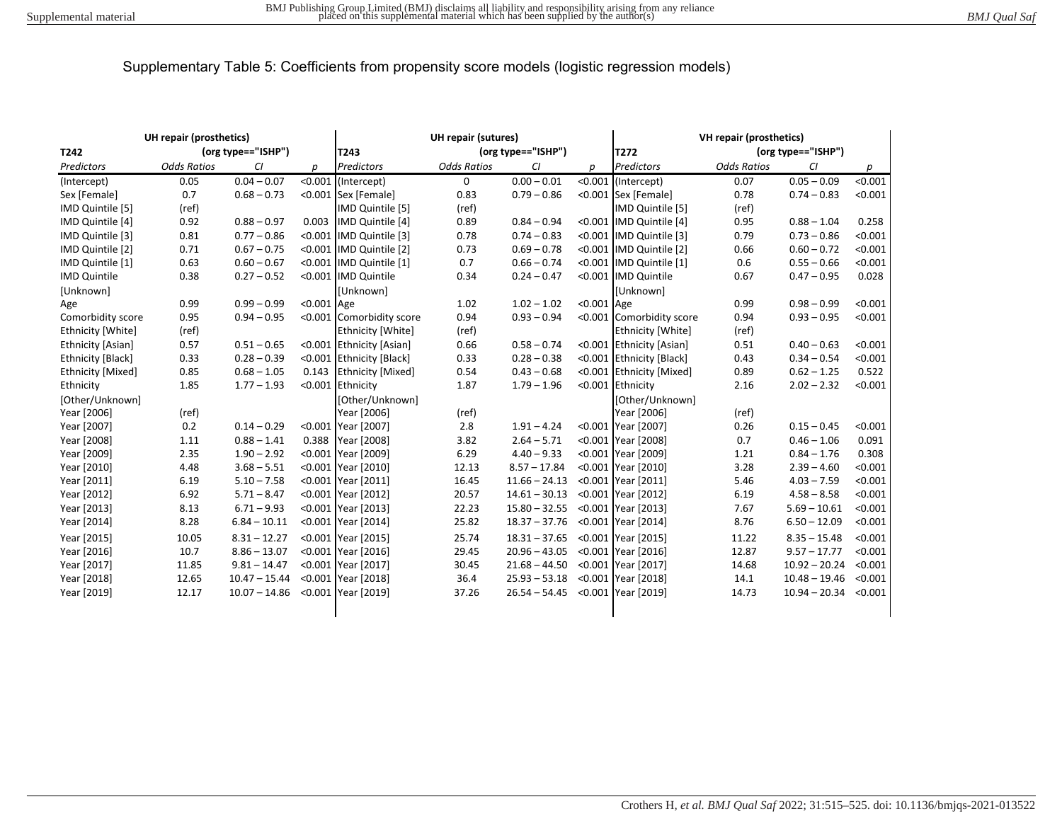| UH repair (prosthetics) |                    |                    | <b>UH repair (sutures)</b> |                            |                    |                 | VH repair (prosthetics) |                          |                    |                         |         |
|-------------------------|--------------------|--------------------|----------------------------|----------------------------|--------------------|-----------------|-------------------------|--------------------------|--------------------|-------------------------|---------|
| T242                    |                    | (org type=="ISHP") |                            | (org type=="ISHP")<br>T243 |                    |                 | T272                    |                          | (org type=="ISHP") |                         |         |
| Predictors              | <b>Odds Ratios</b> | CI                 | p                          | Predictors                 | <b>Odds Ratios</b> | CI              | р                       | <b>Predictors</b>        | <b>Odds Ratios</b> | CI                      | р       |
| (Intercept)             | 0.05               | $0.04 - 0.07$      |                            | $< 0.001$ (Intercept)      | 0                  | $0.00 - 0.01$   |                         | <0.001 (Intercept)       | 0.07               | $0.05 - 0.09$           | < 0.001 |
| Sex [Female]            | 0.7                | $0.68 - 0.73$      |                            | <0.001 Sex [Female]        | 0.83               | $0.79 - 0.86$   |                         | <0.001 Sex [Female]      | 0.78               | $0.74 - 0.83$           | < 0.001 |
| IMD Quintile [5]        | (ref)              |                    |                            | IMD Quintile [5]           | (ref)              |                 |                         | <b>IMD Quintile [5]</b>  | (ref)              |                         |         |
| IMD Quintile [4]        | 0.92               | $0.88 - 0.97$      | 0.003                      | IMD Quintile [4]           | 0.89               | $0.84 - 0.94$   |                         | <0.001 IMD Quintile [4]  | 0.95               | $0.88 - 1.04$           | 0.258   |
| IMD Quintile [3]        | 0.81               | $0.77 - 0.86$      |                            | <0.001 IMD Quintile [3]    | 0.78               | $0.74 - 0.83$   |                         | <0.001 IMD Quintile [3]  | 0.79               | $0.73 - 0.86$           | < 0.001 |
| IMD Quintile [2]        | 0.71               | $0.67 - 0.75$      |                            | <0.001 IMD Quintile [2]    | 0.73               | $0.69 - 0.78$   |                         | <0.001 IMD Quintile [2]  | 0.66               | $0.60 - 0.72$           | < 0.001 |
| IMD Quintile [1]        | 0.63               | $0.60 - 0.67$      |                            | <0.001 IMD Quintile [1]    | 0.7                | $0.66 - 0.74$   |                         | <0.001 IMD Quintile [1]  | 0.6                | $0.55 - 0.66$           | < 0.001 |
| <b>IMD Quintile</b>     | 0.38               | $0.27 - 0.52$      |                            | <0.001 IMD Quintile        | 0.34               | $0.24 - 0.47$   |                         | <0.001 IMD Quintile      | 0.67               | $0.47 - 0.95$           | 0.028   |
| [Unknown]               |                    |                    |                            | [Unknown]                  |                    |                 |                         | [Unknown]                |                    |                         |         |
| Age                     | 0.99               | $0.99 - 0.99$      | $< 0.001$ Age              |                            | 1.02               | $1.02 - 1.02$   | <0.001 Age              |                          | 0.99               | $0.98 - 0.99$           | < 0.001 |
| Comorbidity score       | 0.95               | $0.94 - 0.95$      |                            | <0.001 Comorbidity score   | 0.94               | $0.93 - 0.94$   |                         | <0.001 Comorbidity score | 0.94               | $0.93 - 0.95$           | < 0.001 |
| Ethnicity [White]       | (ref)              |                    |                            | <b>Ethnicity [White]</b>   | (ref)              |                 |                         | <b>Ethnicity [White]</b> | (ref)              |                         |         |
| Ethnicity [Asian]       | 0.57               | $0.51 - 0.65$      |                            | <0.001 Ethnicity [Asian]   | 0.66               | $0.58 - 0.74$   |                         | <0.001 Ethnicity [Asian] | 0.51               | $0.40 - 0.63$           | < 0.001 |
| Ethnicity [Black]       | 0.33               | $0.28 - 0.39$      |                            | <0.001 Ethnicity [Black]   | 0.33               | $0.28 - 0.38$   |                         | <0.001 Ethnicity [Black] | 0.43               | $0.34 - 0.54$           | < 0.001 |
| Ethnicity [Mixed]       | 0.85               | $0.68 - 1.05$      | 0.143                      | <b>Ethnicity [Mixed]</b>   | 0.54               | $0.43 - 0.68$   |                         | <0.001 Ethnicity [Mixed] | 0.89               | $0.62 - 1.25$           | 0.522   |
| Ethnicity               | 1.85               | $1.77 - 1.93$      |                            | <0.001 Ethnicity           | 1.87               | $1.79 - 1.96$   |                         | <0.001 Ethnicity         | 2.16               | $2.02 - 2.32$           | < 0.001 |
| [Other/Unknown]         |                    |                    |                            | [Other/Unknown]            |                    |                 |                         | [Other/Unknown]          |                    |                         |         |
| Year [2006]             | (ref)              |                    |                            | Year [2006]                | (ref)              |                 |                         | Year [2006]              | (ref)              |                         |         |
| Year [2007]             | 0.2                | $0.14 - 0.29$      |                            | <0.001 Year [2007]         | 2.8                | $1.91 - 4.24$   |                         | <0.001 Year [2007]       | 0.26               | $0.15 - 0.45$           | < 0.001 |
| Year [2008]             | 1.11               | $0.88 - 1.41$      | 0.388                      | Year [2008]                | 3.82               | $2.64 - 5.71$   |                         | <0.001 Year [2008]       | 0.7                | $0.46 - 1.06$           | 0.091   |
| Year [2009]             | 2.35               | $1.90 - 2.92$      |                            | <0.001 Year [2009]         | 6.29               | $4.40 - 9.33$   |                         | <0.001 Year [2009]       | 1.21               | $0.84 - 1.76$           | 0.308   |
| Year [2010]             | 4.48               | $3.68 - 5.51$      |                            | <0.001 Year [2010]         | 12.13              | $8.57 - 17.84$  |                         | <0.001 Year [2010]       | 3.28               | $2.39 - 4.60$           | < 0.001 |
| Year [2011]             | 6.19               | $5.10 - 7.58$      |                            | <0.001 Year [2011]         | 16.45              | $11.66 - 24.13$ |                         | <0.001 Year [2011]       | 5.46               | $4.03 - 7.59$           | < 0.001 |
| Year [2012]             | 6.92               | $5.71 - 8.47$      |                            | <0.001 Year [2012]         | 20.57              | $14.61 - 30.13$ |                         | <0.001 Year [2012]       | 6.19               | $4.58 - 8.58$           | < 0.001 |
| Year [2013]             | 8.13               | $6.71 - 9.93$      |                            | <0.001 Year [2013]         | 22.23              | $15.80 - 32.55$ |                         | <0.001 Year [2013]       | 7.67               | $5.69 - 10.61$          | < 0.001 |
| Year [2014]             | 8.28               | $6.84 - 10.11$     |                            | <0.001 Year [2014]         | 25.82              | $18.37 - 37.76$ |                         | <0.001 Year [2014]       | 8.76               | $6.50 - 12.09$          | < 0.001 |
| Year [2015]             | 10.05              | $8.31 - 12.27$     |                            | <0.001 Year [2015]         | 25.74              | $18.31 - 37.65$ |                         | <0.001 Year [2015]       | 11.22              | $8.35 - 15.48$          | < 0.001 |
| Year [2016]             | 10.7               | $8.86 - 13.07$     |                            | <0.001 Year [2016]         | 29.45              | $20.96 - 43.05$ |                         | <0.001 Year [2016]       | 12.87              | $9.57 - 17.77$          | < 0.001 |
| Year [2017]             | 11.85              | $9.81 - 14.47$     |                            | <0.001 Year [2017]         | 30.45              | $21.68 - 44.50$ |                         | <0.001 Year [2017]       | 14.68              | $10.92 - 20.24$         | < 0.001 |
| Year [2018]             | 12.65              | $10.47 - 15.44$    |                            | <0.001 Year [2018]         | 36.4               | $25.93 - 53.18$ |                         | <0.001 Year [2018]       | 14.1               | $10.48 - 19.46$         | < 0.001 |
| Year [2019]             | 12.17              | $10.07 - 14.86$    |                            | <0.001 Year [2019]         | 37.26              | $26.54 - 54.45$ |                         | <0.001 Year [2019]       | 14.73              | $10.94 - 20.34 < 0.001$ |         |
|                         |                    |                    |                            |                            |                    |                 |                         |                          |                    |                         |         |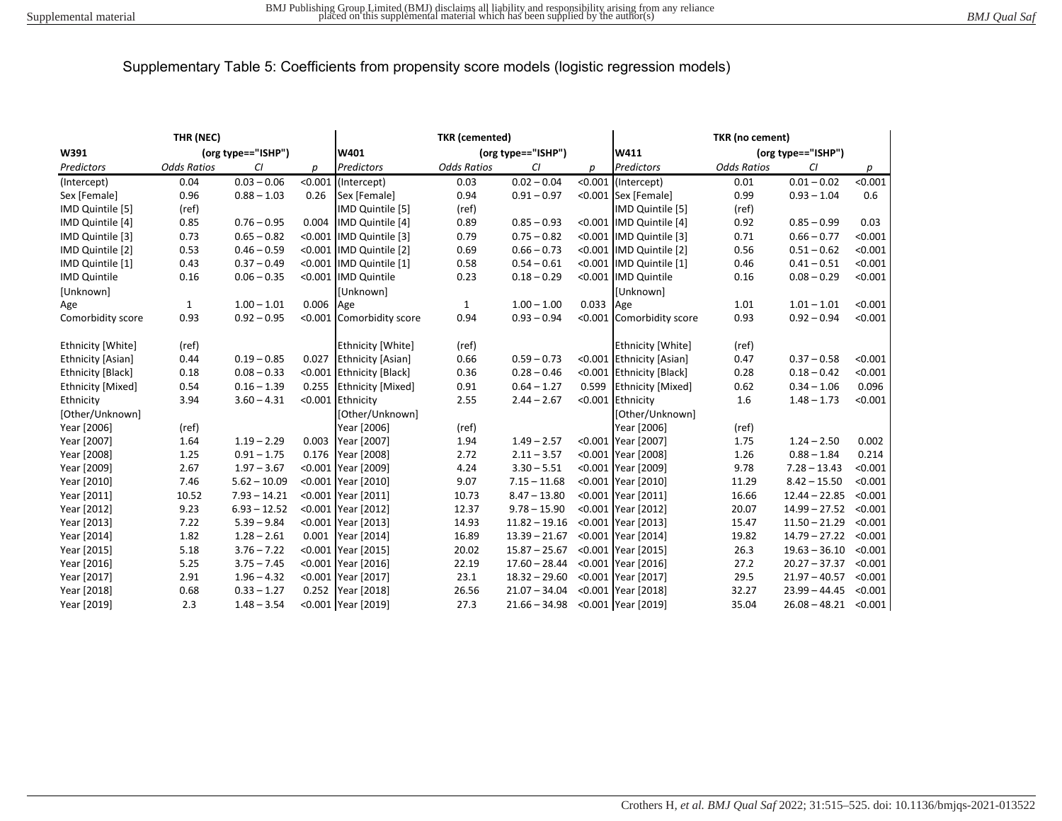| THR (NEC)           |                    |                |           | <b>TKR</b> (cemented)      |                    |                 |                            | TKR (no cement)          |                    |                         |         |
|---------------------|--------------------|----------------|-----------|----------------------------|--------------------|-----------------|----------------------------|--------------------------|--------------------|-------------------------|---------|
| W391                | (org type=="ISHP") |                |           | (org type=="ISHP")<br>W401 |                    |                 | W411<br>(org type=="ISHP") |                          |                    |                         |         |
| Predictors          | <b>Odds Ratios</b> | CI             | р         | Predictors                 | <b>Odds Ratios</b> | CI              | p                          | Predictors               | <b>Odds Ratios</b> | CI                      | р       |
| (Intercept)         | 0.04               | $0.03 - 0.06$  | < 0.001   | (Intercept)                | 0.03               | $0.02 - 0.04$   |                            | <0.001 (Intercept)       | 0.01               | $0.01 - 0.02$           | < 0.001 |
| Sex [Female]        | 0.96               | $0.88 - 1.03$  | 0.26      | Sex [Female]               | 0.94               | $0.91 - 0.97$   |                            | <0.001 Sex [Female]      | 0.99               | $0.93 - 1.04$           | 0.6     |
| IMD Quintile [5]    | (ref)              |                |           | IMD Quintile [5]           | (ref)              |                 |                            | IMD Quintile [5]         | (ref)              |                         |         |
| IMD Quintile [4]    | 0.85               | $0.76 - 0.95$  |           | 0.004 IMD Quintile [4]     | 0.89               | $0.85 - 0.93$   |                            | <0.001 IMD Quintile [4]  | 0.92               | $0.85 - 0.99$           | 0.03    |
| IMD Quintile [3]    | 0.73               | $0.65 - 0.82$  |           | <0.001 IMD Quintile [3]    | 0.79               | $0.75 - 0.82$   |                            | <0.001 IMD Quintile [3]  | 0.71               | $0.66 - 0.77$           | < 0.001 |
| IMD Quintile [2]    | 0.53               | $0.46 - 0.59$  |           | <0.001 IMD Quintile [2]    | 0.69               | $0.66 - 0.73$   |                            | <0.001 IMD Quintile [2]  | 0.56               | $0.51 - 0.62$           | < 0.001 |
| IMD Quintile [1]    | 0.43               | $0.37 - 0.49$  |           | <0.001 IMD Quintile [1]    | 0.58               | $0.54 - 0.61$   |                            | <0.001 IMD Quintile [1]  | 0.46               | $0.41 - 0.51$           | < 0.001 |
| <b>IMD</b> Quintile | 0.16               | $0.06 - 0.35$  |           | <0.001 IMD Quintile        | 0.23               | $0.18 - 0.29$   |                            | <0.001 IMD Quintile      | 0.16               | $0.08 - 0.29$           | < 0.001 |
| [Unknown]           |                    |                |           | <b>[Unknown]</b>           |                    |                 |                            | [Unknown]                |                    |                         |         |
| Age                 | $\mathbf{1}$       | $1.00 - 1.01$  | 0.006 Age |                            | 1                  | $1.00 - 1.00$   | 0.033 Age                  |                          | 1.01               | $1.01 - 1.01$           | < 0.001 |
| Comorbidity score   | 0.93               | $0.92 - 0.95$  |           | <0.001 Comorbidity score   | 0.94               | $0.93 - 0.94$   |                            | <0.001 Comorbidity score | 0.93               | $0.92 - 0.94$           | < 0.001 |
| Ethnicity [White]   | (ref)              |                |           | <b>Ethnicity [White]</b>   | (ref)              |                 |                            | <b>Ethnicity [White]</b> | (ref)              |                         |         |
| Ethnicity [Asian]   | 0.44               | $0.19 - 0.85$  |           | 0.027 Ethnicity [Asian]    | 0.66               | $0.59 - 0.73$   |                            | <0.001 Ethnicity [Asian] | 0.47               | $0.37 - 0.58$           | < 0.001 |
| Ethnicity [Black]   | 0.18               | $0.08 - 0.33$  |           | <0.001 Ethnicity [Black]   | 0.36               | $0.28 - 0.46$   |                            | <0.001 Ethnicity [Black] | 0.28               | $0.18 - 0.42$           | < 0.001 |
| Ethnicity [Mixed]   | 0.54               | $0.16 - 1.39$  |           | 0.255 Ethnicity [Mixed]    | 0.91               | $0.64 - 1.27$   |                            | 0.599 Ethnicity [Mixed]  | 0.62               | $0.34 - 1.06$           | 0.096   |
| Ethnicity           | 3.94               | $3.60 - 4.31$  |           | <0.001 Ethnicity           | 2.55               | $2.44 - 2.67$   |                            | <0.001 Ethnicity         | 1.6                | $1.48 - 1.73$           | < 0.001 |
| [Other/Unknown]     |                    |                |           | [Other/Unknown]            |                    |                 |                            | [Other/Unknown]          |                    |                         |         |
| Year [2006]         | (ref)              |                |           | Year [2006]                | (ref)              |                 |                            | Year [2006]              | (ref)              |                         |         |
| Year [2007]         | 1.64               | $1.19 - 2.29$  | 0.003     | Year [2007]                | 1.94               | $1.49 - 2.57$   |                            | <0.001 Year [2007]       | 1.75               | $1.24 - 2.50$           | 0.002   |
| Year [2008]         | 1.25               | $0.91 - 1.75$  |           | 0.176 Year [2008]          | 2.72               | $2.11 - 3.57$   |                            | <0.001 Year [2008]       | 1.26               | $0.88 - 1.84$           | 0.214   |
| Year [2009]         | 2.67               | $1.97 - 3.67$  |           | <0.001 Year [2009]         | 4.24               | $3.30 - 5.51$   |                            | <0.001 Year [2009]       | 9.78               | $7.28 - 13.43$          | < 0.001 |
| Year [2010]         | 7.46               | $5.62 - 10.09$ |           | <0.001 Year [2010]         | 9.07               | $7.15 - 11.68$  |                            | <0.001 Year [2010]       | 11.29              | $8.42 - 15.50$          | < 0.001 |
| Year [2011]         | 10.52              | $7.93 - 14.21$ |           | <0.001 Year [2011]         | 10.73              | $8.47 - 13.80$  |                            | <0.001 Year [2011]       | 16.66              | $12.44 - 22.85$         | < 0.001 |
| Year [2012]         | 9.23               | $6.93 - 12.52$ |           | <0.001 Year [2012]         | 12.37              | $9.78 - 15.90$  |                            | <0.001 Year [2012]       | 20.07              | $14.99 - 27.52$         | < 0.001 |
| Year [2013]         | 7.22               | $5.39 - 9.84$  |           | <0.001 Year [2013]         | 14.93              | $11.82 - 19.16$ |                            | <0.001 Year [2013]       | 15.47              | $11.50 - 21.29$         | < 0.001 |
| Year [2014]         | 1.82               | $1.28 - 2.61$  |           | 0.001 Year [2014]          | 16.89              | $13.39 - 21.67$ |                            | <0.001 Year [2014]       | 19.82              | $14.79 - 27.22$         | < 0.001 |
| Year [2015]         | 5.18               | $3.76 - 7.22$  |           | <0.001 Year [2015]         | 20.02              | $15.87 - 25.67$ |                            | <0.001 Year [2015]       | 26.3               | $19.63 - 36.10$         | < 0.001 |
| Year [2016]         | 5.25               | $3.75 - 7.45$  |           | <0.001 Year [2016]         | 22.19              | $17.60 - 28.44$ |                            | <0.001 Year [2016]       | 27.2               | $20.27 - 37.37$         | < 0.001 |
| Year [2017]         | 2.91               | $1.96 - 4.32$  |           | <0.001 Year [2017]         | 23.1               | $18.32 - 29.60$ |                            | <0.001 Year [2017]       | 29.5               | $21.97 - 40.57$         | < 0.001 |
| Year [2018]         | 0.68               | $0.33 - 1.27$  |           | 0.252 Year [2018]          | 26.56              | $21.07 - 34.04$ |                            | <0.001 Year [2018]       | 32.27              | $23.99 - 44.45$         | < 0.001 |
| Year [2019]         | 2.3                | $1.48 - 3.54$  |           | <0.001 Year [2019]         | 27.3               | $21.66 - 34.98$ |                            | <0.001 Year [2019]       | 35.04              | $26.08 - 48.21$ < 0.001 |         |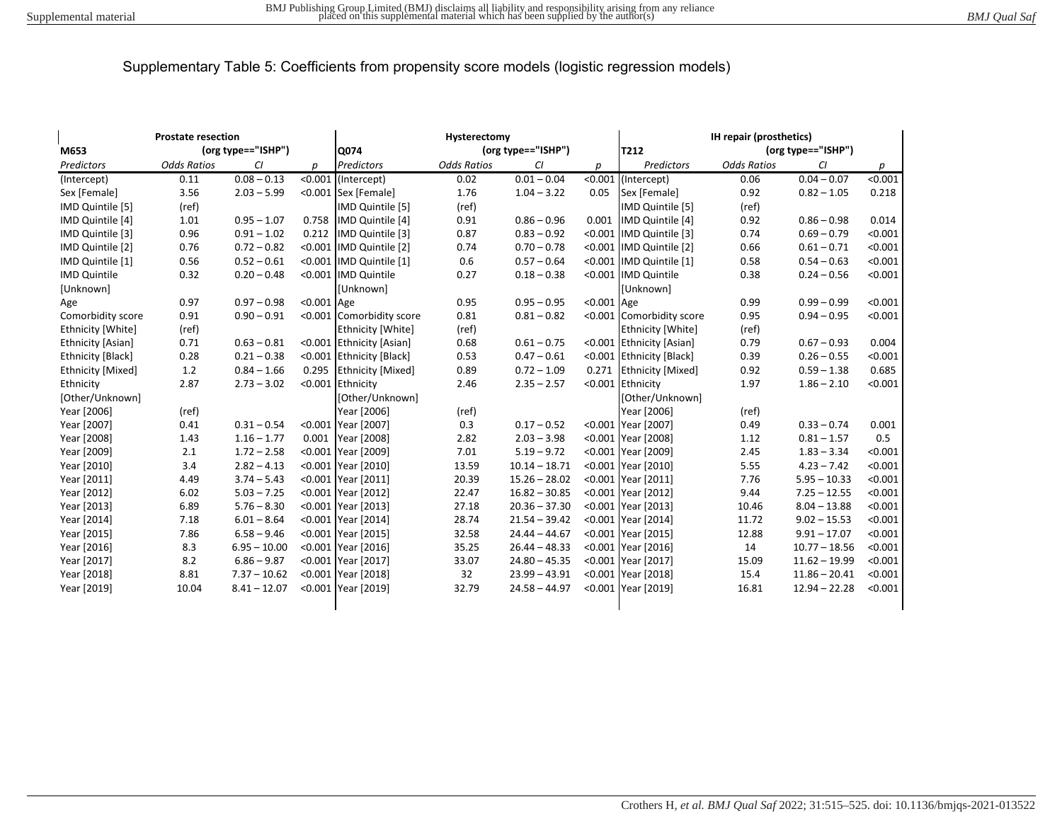| <b>Prostate resection</b> |                    |                    | Hysterectomy |                          |                    |                    | <b>IH repair (prosthetics)</b> |                           |                    |                    |         |
|---------------------------|--------------------|--------------------|--------------|--------------------------|--------------------|--------------------|--------------------------------|---------------------------|--------------------|--------------------|---------|
| M653                      |                    | (org type=="ISHP") |              | Q074                     |                    | (org type=="ISHP") |                                | T212                      |                    | (org type=="ISHP") |         |
| Predictors                | <b>Odds Ratios</b> | CI                 | D            | Predictors               | <b>Odds Ratios</b> | CI                 | D                              | Predictors                | <b>Odds Ratios</b> | CI                 | p       |
| (Intercept)               | 0.11               | $0.08 - 0.13$      |              | <0.001 (Intercept)       | 0.02               | $0.01 - 0.04$      |                                | <0.001 (Intercept)        | 0.06               | $0.04 - 0.07$      | < 0.001 |
| Sex [Female]              | 3.56               | $2.03 - 5.99$      |              | <0.001 Sex [Female]      | 1.76               | $1.04 - 3.22$      | 0.05                           | Sex [Female]              | 0.92               | $0.82 - 1.05$      | 0.218   |
| IMD Quintile [5]          | (ref)              |                    |              | IMD Quintile [5]         | (ref)              |                    |                                | IMD Quintile [5]          | (ref)              |                    |         |
| IMD Quintile [4]          | 1.01               | $0.95 - 1.07$      |              | 0.758 IMD Quintile [4]   | 0.91               | $0.86 - 0.96$      |                                | 0.001 IMD Quintile [4]    | 0.92               | $0.86 - 0.98$      | 0.014   |
| IMD Quintile [3]          | 0.96               | $0.91 - 1.02$      | 0.212        | IMD Quintile [3]         | 0.87               | $0.83 - 0.92$      |                                | <0.001 IMD Quintile [3]   | 0.74               | $0.69 - 0.79$      | < 0.001 |
| IMD Quintile [2]          | 0.76               | $0.72 - 0.82$      |              | <0.001 IMD Quintile [2]  | 0.74               | $0.70 - 0.78$      |                                | <0.001   IMD Quintile [2] | 0.66               | $0.61 - 0.71$      | < 0.001 |
| IMD Quintile [1]          | 0.56               | $0.52 - 0.61$      |              | <0.001 IMD Quintile [1]  | 0.6                | $0.57 - 0.64$      |                                | <0.001 IMD Quintile [1]   | 0.58               | $0.54 - 0.63$      | < 0.001 |
| <b>IMD Quintile</b>       | 0.32               | $0.20 - 0.48$      |              | <0.001 IMD Quintile      | 0.27               | $0.18 - 0.38$      |                                | <0.001 IMD Quintile       | 0.38               | $0.24 - 0.56$      | < 0.001 |
| [Unknown]                 |                    |                    |              | [Unknown]                |                    |                    |                                | [Unknown]                 |                    |                    |         |
| Age                       | 0.97               | $0.97 - 0.98$      | <0.001 Age   |                          | 0.95               | $0.95 - 0.95$      | $< 0.001$ Age                  |                           | 0.99               | $0.99 - 0.99$      | < 0.001 |
| Comorbidity score         | 0.91               | $0.90 - 0.91$      |              | <0.001 Comorbidity score | 0.81               | $0.81 - 0.82$      |                                | <0.001 Comorbidity score  | 0.95               | $0.94 - 0.95$      | < 0.001 |
| Ethnicity [White]         | (ref)              |                    |              | Ethnicity [White]        | (ref)              |                    |                                | Ethnicity [White]         | (ref)              |                    |         |
| Ethnicity [Asian]         | 0.71               | $0.63 - 0.81$      |              | <0.001 Ethnicity [Asian] | 0.68               | $0.61 - 0.75$      |                                | <0.001 Ethnicity [Asian]  | 0.79               | $0.67 - 0.93$      | 0.004   |
| Ethnicity [Black]         | 0.28               | $0.21 - 0.38$      |              | <0.001 Ethnicity [Black] | 0.53               | $0.47 - 0.61$      |                                | <0.001 Ethnicity [Black]  | 0.39               | $0.26 - 0.55$      | < 0.001 |
| Ethnicity [Mixed]         | 1.2                | $0.84 - 1.66$      | 0.295        | <b>Ethnicity [Mixed]</b> | 0.89               | $0.72 - 1.09$      | 0.271                          | <b>Ethnicity [Mixed]</b>  | 0.92               | $0.59 - 1.38$      | 0.685   |
| Ethnicity                 | 2.87               | $2.73 - 3.02$      |              | <0.001 Ethnicity         | 2.46               | $2.35 - 2.57$      |                                | <0.001 Ethnicity          | 1.97               | $1.86 - 2.10$      | < 0.001 |
| [Other/Unknown]           |                    |                    |              | [Other/Unknown]          |                    |                    |                                | [Other/Unknown]           |                    |                    |         |
| Year [2006]               | (ref)              |                    |              | Year [2006]              | (ref)              |                    |                                | Year [2006]               | (ref)              |                    |         |
| Year [2007]               | 0.41               | $0.31 - 0.54$      |              | <0.001 Year [2007]       | 0.3                | $0.17 - 0.52$      |                                | <0.001 Year [2007]        | 0.49               | $0.33 - 0.74$      | 0.001   |
| Year [2008]               | 1.43               | $1.16 - 1.77$      |              | 0.001 Year [2008]        | 2.82               | $2.03 - 3.98$      |                                | <0.001 Year [2008]        | 1.12               | $0.81 - 1.57$      | 0.5     |
| Year [2009]               | 2.1                | $1.72 - 2.58$      |              | <0.001 Year [2009]       | 7.01               | $5.19 - 9.72$      |                                | <0.001 Year [2009]        | 2.45               | $1.83 - 3.34$      | < 0.001 |
| Year [2010]               | 3.4                | $2.82 - 4.13$      |              | <0.001 Year [2010]       | 13.59              | $10.14 - 18.71$    |                                | <0.001 Year [2010]        | 5.55               | $4.23 - 7.42$      | < 0.001 |
| Year [2011]               | 4.49               | $3.74 - 5.43$      |              | <0.001 Year [2011]       | 20.39              | $15.26 - 28.02$    |                                | <0.001 Year [2011]        | 7.76               | $5.95 - 10.33$     | < 0.001 |
| Year [2012]               | 6.02               | $5.03 - 7.25$      |              | <0.001 Year [2012]       | 22.47              | $16.82 - 30.85$    |                                | <0.001 Year [2012]        | 9.44               | $7.25 - 12.55$     | < 0.001 |
| Year [2013]               | 6.89               | $5.76 - 8.30$      |              | <0.001 Year [2013]       | 27.18              | $20.36 - 37.30$    |                                | <0.001 Year [2013]        | 10.46              | $8.04 - 13.88$     | < 0.001 |
| Year [2014]               | 7.18               | $6.01 - 8.64$      |              | <0.001 Year [2014]       | 28.74              | $21.54 - 39.42$    |                                | <0.001 Year [2014]        | 11.72              | $9.02 - 15.53$     | < 0.001 |
| Year [2015]               | 7.86               | $6.58 - 9.46$      |              | <0.001 Year [2015]       | 32.58              | $24.44 - 44.67$    |                                | <0.001 Year [2015]        | 12.88              | $9.91 - 17.07$     | < 0.001 |
| Year [2016]               | 8.3                | $6.95 - 10.00$     |              | <0.001 Year [2016]       | 35.25              | $26.44 - 48.33$    |                                | <0.001 Year [2016]        | 14                 | $10.77 - 18.56$    | < 0.001 |
| Year [2017]               | 8.2                | $6.86 - 9.87$      |              | <0.001 Year [2017]       | 33.07              | $24.80 - 45.35$    |                                | <0.001 Year [2017]        | 15.09              | $11.62 - 19.99$    | < 0.001 |
| Year [2018]               | 8.81               | $7.37 - 10.62$     |              | <0.001 Year [2018]       | 32                 | $23.99 - 43.91$    |                                | <0.001 Year [2018]        | 15.4               | $11.86 - 20.41$    | < 0.001 |
| Year [2019]               | 10.04              | $8.41 - 12.07$     |              | <0.001 Year [2019]       | 32.79              | $24.58 - 44.97$    |                                | <0.001 Year [2019]        | 16.81              | $12.94 - 22.28$    | < 0.001 |
|                           |                    |                    |              |                          |                    |                    |                                |                           |                    |                    |         |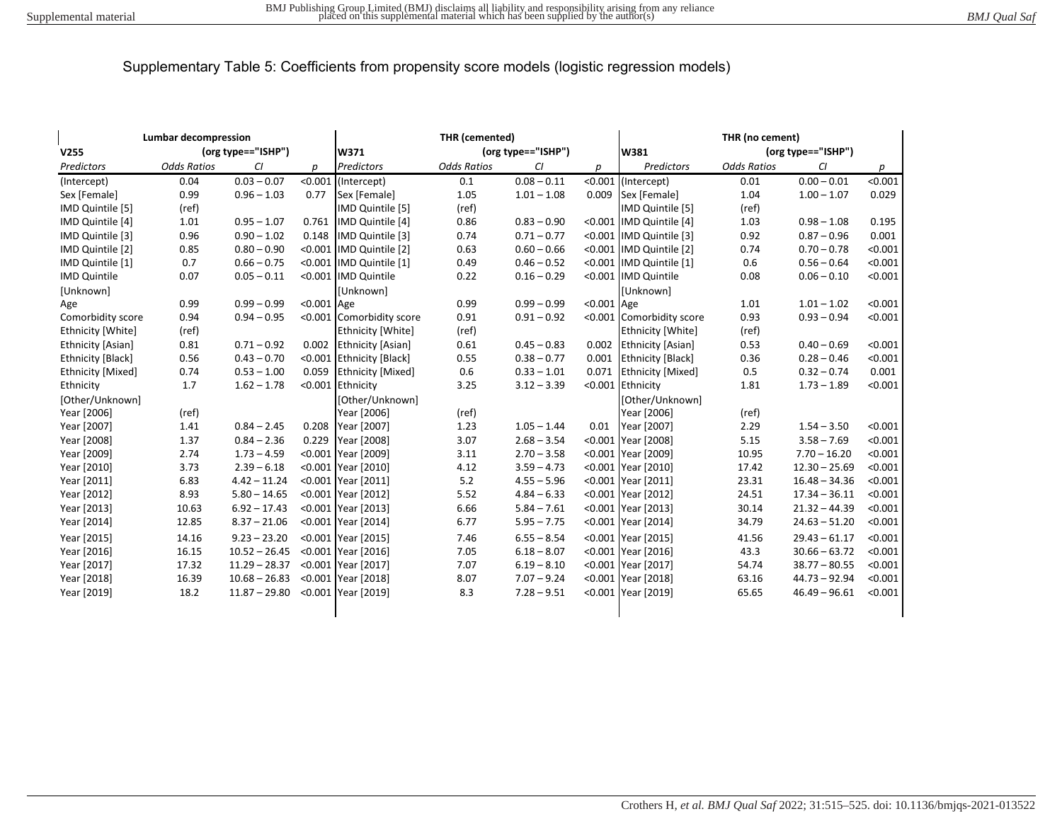| <b>Lumbar decompression</b><br>(org type=="ISHP")<br>V255 |                    |                 |            | THR (cemented)<br>(org type=="ISHP")<br>W371 |                    |               |         | THR (no cement)<br>(org type=="ISHP")<br>W381 |                    |                 |         |
|-----------------------------------------------------------|--------------------|-----------------|------------|----------------------------------------------|--------------------|---------------|---------|-----------------------------------------------|--------------------|-----------------|---------|
| Predictors                                                | <b>Odds Ratios</b> | CI              | р          | Predictors                                   | <b>Odds Ratios</b> | CI            | р       | Predictors                                    | <b>Odds Ratios</b> | CI              | р       |
| (Intercept)                                               | 0.04               | $0.03 - 0.07$   | < 0.001    | (Intercept)                                  | 0.1                | $0.08 - 0.11$ | < 0.001 | (Intercept)                                   | 0.01               | $0.00 - 0.01$   | < 0.001 |
| Sex [Female]                                              | 0.99               | $0.96 - 1.03$   | 0.77       | Sex [Female]                                 | 1.05               | $1.01 - 1.08$ | 0.009   | Sex [Female]                                  | 1.04               | $1.00 - 1.07$   | 0.029   |
| IMD Quintile [5]                                          | (ref)              |                 |            | IMD Quintile [5]                             | (ref)              |               |         | IMD Quintile [5]                              | (ref)              |                 |         |
| IMD Quintile [4]                                          | 1.01               | $0.95 - 1.07$   | 0.761      | IMD Quintile [4]                             | 0.86               | $0.83 - 0.90$ |         | <0.001 IMD Quintile [4]                       | 1.03               | $0.98 - 1.08$   | 0.195   |
| IMD Quintile [3]                                          | 0.96               | $0.90 - 1.02$   | 0.148      | IMD Quintile [3]                             | 0.74               | $0.71 - 0.77$ |         | <0.001 IMD Quintile [3]                       | 0.92               | $0.87 - 0.96$   | 0.001   |
| IMD Quintile [2]                                          | 0.85               | $0.80 - 0.90$   |            | <0.001 IMD Quintile [2]                      | 0.63               | $0.60 - 0.66$ |         | <0.001 IMD Quintile [2]                       | 0.74               | $0.70 - 0.78$   | < 0.001 |
| IMD Quintile [1]                                          | 0.7                | $0.66 - 0.75$   |            | <0.001 IMD Quintile [1]                      | 0.49               | $0.46 - 0.52$ |         | <0.001 IMD Quintile [1]                       | 0.6                | $0.56 - 0.64$   | < 0.001 |
| <b>IMD Quintile</b>                                       | 0.07               | $0.05 - 0.11$   |            | <0.001 IMD Quintile                          | 0.22               | $0.16 - 0.29$ |         | <0.001 IMD Quintile                           | 0.08               | $0.06 - 0.10$   | < 0.001 |
| [Unknown]                                                 |                    |                 |            | [Unknown]                                    |                    |               |         | [Unknown]                                     |                    |                 |         |
| Age                                                       | 0.99               | $0.99 - 0.99$   | <0.001 Age |                                              | 0.99               | $0.99 - 0.99$ | < 0.001 | Age                                           | 1.01               | $1.01 - 1.02$   | < 0.001 |
| Comorbidity score                                         | 0.94               | $0.94 - 0.95$   |            | <0.001 Comorbidity score                     | 0.91               | $0.91 - 0.92$ |         | <0.001 Comorbidity score                      | 0.93               | $0.93 - 0.94$   | < 0.001 |
| Ethnicity [White]                                         | (ref)              |                 |            | Ethnicity [White]                            | (ref)              |               |         | Ethnicity [White]                             | (ref)              |                 |         |
| Ethnicity [Asian]                                         | 0.81               | $0.71 - 0.92$   | 0.002      | <b>Ethnicity [Asian]</b>                     | 0.61               | $0.45 - 0.83$ | 0.002   | <b>Ethnicity [Asian]</b>                      | 0.53               | $0.40 - 0.69$   | < 0.001 |
| Ethnicity [Black]                                         | 0.56               | $0.43 - 0.70$   |            | <0.001 Ethnicity [Black]                     | 0.55               | $0.38 - 0.77$ | 0.001   | <b>Ethnicity [Black]</b>                      | 0.36               | $0.28 - 0.46$   | < 0.001 |
| <b>Ethnicity [Mixed]</b>                                  | 0.74               | $0.53 - 1.00$   | 0.059      | <b>Ethnicity [Mixed]</b>                     | 0.6                | $0.33 - 1.01$ | 0.071   | <b>Ethnicity [Mixed]</b>                      | 0.5                | $0.32 - 0.74$   | 0.001   |
| Ethnicity                                                 | 1.7                | $1.62 - 1.78$   |            | <0.001 Ethnicity                             | 3.25               | $3.12 - 3.39$ | < 0.001 | Ethnicity                                     | 1.81               | $1.73 - 1.89$   | < 0.001 |
| [Other/Unknown]                                           |                    |                 |            | [Other/Unknown]                              |                    |               |         | [Other/Unknown]                               |                    |                 |         |
| Year [2006]                                               | (ref)              |                 |            | Year [2006]                                  | (ref)              |               |         | Year [2006]                                   | (ref)              |                 |         |
| Year [2007]                                               | 1.41               | $0.84 - 2.45$   | 0.208      | Year [2007]                                  | 1.23               | $1.05 - 1.44$ | 0.01    | Year [2007]                                   | 2.29               | $1.54 - 3.50$   | < 0.001 |
| Year [2008]                                               | 1.37               | $0.84 - 2.36$   | 0.229      | Year [2008]                                  | 3.07               | $2.68 - 3.54$ | < 0.001 | Year [2008]                                   | 5.15               | $3.58 - 7.69$   | < 0.001 |
| Year [2009]                                               | 2.74               | $1.73 - 4.59$   |            | <0.001 Year [2009]                           | 3.11               | $2.70 - 3.58$ |         | <0.001 Year [2009]                            | 10.95              | $7.70 - 16.20$  | < 0.001 |
| Year [2010]                                               | 3.73               | $2.39 - 6.18$   |            | <0.001 Year [2010]                           | 4.12               | $3.59 - 4.73$ |         | <0.001 Year [2010]                            | 17.42              | $12.30 - 25.69$ | < 0.001 |
| Year [2011]                                               | 6.83               | $4.42 - 11.24$  |            | <0.001 Year [2011]                           | 5.2                | $4.55 - 5.96$ |         | <0.001 Year [2011]                            | 23.31              | $16.48 - 34.36$ | < 0.001 |
| Year [2012]                                               | 8.93               | $5.80 - 14.65$  |            | <0.001 Year [2012]                           | 5.52               | $4.84 - 6.33$ |         | <0.001 Year [2012]                            | 24.51              | $17.34 - 36.11$ | < 0.001 |
| Year [2013]                                               | 10.63              | $6.92 - 17.43$  |            | <0.001 Year [2013]                           | 6.66               | $5.84 - 7.61$ |         | <0.001 Year [2013]                            | 30.14              | $21.32 - 44.39$ | < 0.001 |
| Year [2014]                                               | 12.85              | $8.37 - 21.06$  |            | <0.001 Year [2014]                           | 6.77               | $5.95 - 7.75$ |         | <0.001 Year [2014]                            | 34.79              | $24.63 - 51.20$ | < 0.001 |
| Year [2015]                                               | 14.16              | $9.23 - 23.20$  |            | <0.001 Year [2015]                           | 7.46               | $6.55 - 8.54$ |         | <0.001 Year [2015]                            | 41.56              | $29.43 - 61.17$ | < 0.001 |
| Year [2016]                                               | 16.15              | $10.52 - 26.45$ |            | <0.001 Year [2016]                           | 7.05               | $6.18 - 8.07$ |         | <0.001 Year [2016]                            | 43.3               | $30.66 - 63.72$ | < 0.001 |
| Year [2017]                                               | 17.32              | $11.29 - 28.37$ |            | <0.001 Year [2017]                           | 7.07               | $6.19 - 8.10$ |         | <0.001 Year [2017]                            | 54.74              | $38.77 - 80.55$ | < 0.001 |
| Year [2018]                                               | 16.39              | $10.68 - 26.83$ |            | <0.001 Year [2018]                           | 8.07               | $7.07 - 9.24$ |         | <0.001 Year [2018]                            | 63.16              | $44.73 - 92.94$ | < 0.001 |
| Year [2019]                                               | 18.2               | $11.87 - 29.80$ |            | <0.001 Year [2019]                           | 8.3                | $7.28 - 9.51$ |         | <0.001 Year [2019]                            | 65.65              | $46.49 - 96.61$ | < 0.001 |
|                                                           |                    |                 |            |                                              |                    |               |         |                                               |                    |                 |         |